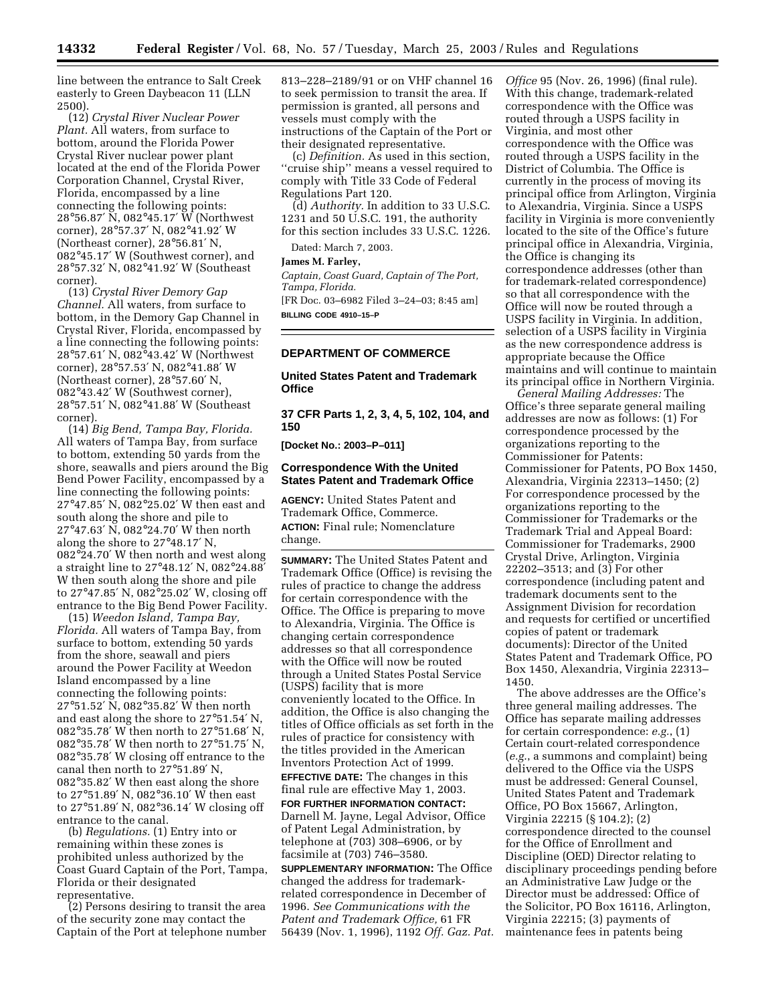line between the entrance to Salt Creek easterly to Green Daybeacon 11 (LLN 2500).

(12) *Crystal River Nuclear Power Plant.* All waters, from surface to bottom, around the Florida Power Crystal River nuclear power plant located at the end of the Florida Power Corporation Channel, Crystal River, Florida, encompassed by a line connecting the following points: 28°56.87′ N, 082°45.17′ W (Northwest corner), 28°57.37′ N, 082°41.92′ W (Northeast corner), 28°56.81′ N, 082°45.17′ W (Southwest corner), and 28°57.32′ N, 082°41.92′ W (Southeast corner).

(13) *Crystal River Demory Gap Channel.* All waters, from surface to bottom, in the Demory Gap Channel in Crystal River, Florida, encompassed by a line connecting the following points: 28°57.61′ N, 082°43.42′ W (Northwest corner), 28°57.53′ N, 082°41.88′ W (Northeast corner), 28°57.60′ N, 082°43.42′ W (Southwest corner), 28°57.51′ N, 082°41.88′ W (Southeast corner).

(14) *Big Bend, Tampa Bay, Florida.*  All waters of Tampa Bay, from surface to bottom, extending 50 yards from the shore, seawalls and piers around the Big Bend Power Facility, encompassed by a line connecting the following points: 27°47.85′ N, 082°25.02′ W then east and south along the shore and pile to 27°47.63′ N, 082°24.70′ W then north along the shore to 27°48.17′ N, 082°24.70′ W then north and west along a straight line to 27°48.12′ N, 082°24.88′ W then south along the shore and pile to 27°47.85′ N, 082°25.02′ W, closing off entrance to the Big Bend Power Facility.

(15) *Weedon Island, Tampa Bay, Florida.* All waters of Tampa Bay, from surface to bottom, extending 50 yards from the shore, seawall and piers around the Power Facility at Weedon Island encompassed by a line connecting the following points: 27°51.52′ N, 082°35.82′ W then north and east along the shore to 27°51.54′ N, 082°35.78′ W then north to 27°51.68′ N, 082°35.78′ W then north to 27°51.75′ N, 082°35.78′ W closing off entrance to the canal then north to 27°51.89′ N, 082°35.82′ W then east along the shore to 27°51.89′ N, 082°36.10′ W then east to 27°51.89′ N, 082°36.14′ W closing off entrance to the canal.

(b) *Regulations.* (1) Entry into or remaining within these zones is prohibited unless authorized by the Coast Guard Captain of the Port, Tampa, Florida or their designated representative.

(2) Persons desiring to transit the area of the security zone may contact the Captain of the Port at telephone number 813–228–2189/91 or on VHF channel 16 to seek permission to transit the area. If permission is granted, all persons and vessels must comply with the instructions of the Captain of the Port or their designated representative.

(c) *Definition.* As used in this section, ''cruise ship'' means a vessel required to comply with Title 33 Code of Federal Regulations Part 120.

(d) *Authority.* In addition to 33 U.S.C. 1231 and 50 U.S.C. 191, the authority for this section includes 33 U.S.C. 1226.

Dated: March 7, 2003.

#### **James M. Farley,**

*Captain, Coast Guard, Captain of The Port, Tampa, Florida.* 

[FR Doc. 03–6982 Filed 3–24–03; 8:45 am] **BILLING CODE 4910–15–P** 

## **DEPARTMENT OF COMMERCE**

# **United States Patent and Trademark Office**

**37 CFR Parts 1, 2, 3, 4, 5, 102, 104, and 150** 

**[Docket No.: 2003–P–011]** 

## **Correspondence With the United States Patent and Trademark Office**

**AGENCY:** United States Patent and Trademark Office, Commerce. **ACTION:** Final rule; Nomenclature change.

**SUMMARY:** The United States Patent and Trademark Office (Office) is revising the rules of practice to change the address for certain correspondence with the Office. The Office is preparing to move to Alexandria, Virginia. The Office is changing certain correspondence addresses so that all correspondence with the Office will now be routed through a United States Postal Service (USPS) facility that is more conveniently located to the Office. In addition, the Office is also changing the titles of Office officials as set forth in the rules of practice for consistency with the titles provided in the American Inventors Protection Act of 1999.

**EFFECTIVE DATE:** The changes in this final rule are effective May 1, 2003.

**FOR FURTHER INFORMATION CONTACT:**  Darnell M. Jayne, Legal Advisor, Office of Patent Legal Administration, by telephone at (703) 308–6906, or by facsimile at (703) 746–3580.

**SUPPLEMENTARY INFORMATION:** The Office changed the address for trademarkrelated correspondence in December of 1996. *See Communications with the Patent and Trademark Office,* 61 FR 56439 (Nov. 1, 1996), 1192 *Off. Gaz. Pat.* 

*Office* 95 (Nov. 26, 1996) (final rule). With this change, trademark-related correspondence with the Office was routed through a USPS facility in Virginia, and most other correspondence with the Office was routed through a USPS facility in the District of Columbia. The Office is currently in the process of moving its principal office from Arlington, Virginia to Alexandria, Virginia. Since a USPS facility in Virginia is more conveniently located to the site of the Office's future principal office in Alexandria, Virginia, the Office is changing its correspondence addresses (other than for trademark-related correspondence) so that all correspondence with the Office will now be routed through a USPS facility in Virginia. In addition, selection of a USPS facility in Virginia as the new correspondence address is appropriate because the Office maintains and will continue to maintain its principal office in Northern Virginia.

*General Mailing Addresses:* The Office's three separate general mailing addresses are now as follows: (1) For correspondence processed by the organizations reporting to the Commissioner for Patents: Commissioner for Patents, PO Box 1450, Alexandria, Virginia 22313–1450; (2) For correspondence processed by the organizations reporting to the Commissioner for Trademarks or the Trademark Trial and Appeal Board: Commissioner for Trademarks, 2900 Crystal Drive, Arlington, Virginia 22202–3513; and (3) For other correspondence (including patent and trademark documents sent to the Assignment Division for recordation and requests for certified or uncertified copies of patent or trademark documents): Director of the United States Patent and Trademark Office, PO Box 1450, Alexandria, Virginia 22313– 1450.

The above addresses are the Office's three general mailing addresses. The Office has separate mailing addresses for certain correspondence: *e.g.*, (1) Certain court-related correspondence (*e.g.*, a summons and complaint) being delivered to the Office via the USPS must be addressed: General Counsel, United States Patent and Trademark Office, PO Box 15667, Arlington, Virginia 22215 (§ 104.2); (2) correspondence directed to the counsel for the Office of Enrollment and Discipline (OED) Director relating to disciplinary proceedings pending before an Administrative Law Judge or the Director must be addressed: Office of the Solicitor, PO Box 16116, Arlington, Virginia 22215; (3) payments of maintenance fees in patents being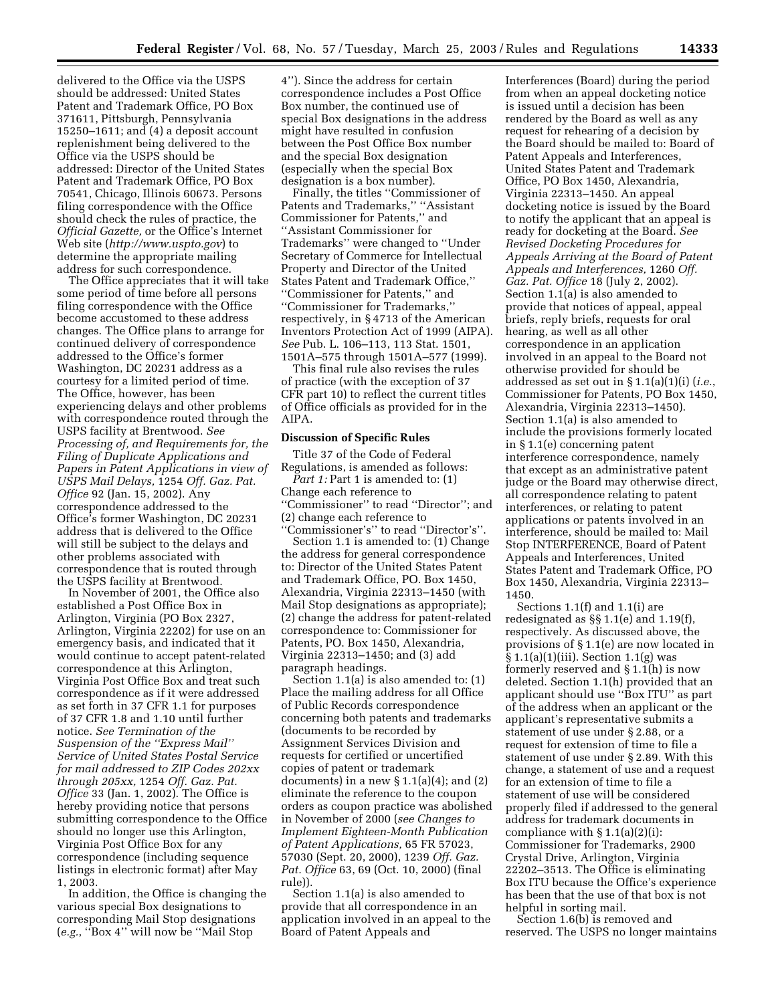delivered to the Office via the USPS should be addressed: United States Patent and Trademark Office, PO Box 371611, Pittsburgh, Pennsylvania 15250–1611; and (4) a deposit account replenishment being delivered to the Office via the USPS should be addressed: Director of the United States Patent and Trademark Office, PO Box 70541, Chicago, Illinois 60673. Persons filing correspondence with the Office should check the rules of practice, the *Official Gazette,* or the Office's Internet Web site (*<http://www.uspto.gov>*) to determine the appropriate mailing address for such correspondence.

The Office appreciates that it will take some period of time before all persons filing correspondence with the Office become accustomed to these address changes. The Office plans to arrange for continued delivery of correspondence addressed to the Office's former Washington, DC 20231 address as a courtesy for a limited period of time. The Office, however, has been experiencing delays and other problems with correspondence routed through the USPS facility at Brentwood. *See Processing of, and Requirements for, the Filing of Duplicate Applications and Papers in Patent Applications in view of USPS Mail Delays,* 1254 *Off. Gaz. Pat. Office* 92 (Jan. 15, 2002). Any correspondence addressed to the Office's former Washington, DC 20231 address that is delivered to the Office will still be subject to the delays and other problems associated with correspondence that is routed through the USPS facility at Brentwood.

In November of 2001, the Office also established a Post Office Box in Arlington, Virginia (PO Box 2327, Arlington, Virginia 22202) for use on an emergency basis, and indicated that it would continue to accept patent-related correspondence at this Arlington, Virginia Post Office Box and treat such correspondence as if it were addressed as set forth in 37 CFR 1.1 for purposes of 37 CFR 1.8 and 1.10 until further notice. *See Termination of the Suspension of the ''Express Mail'' Service of United States Postal Service for mail addressed to ZIP Codes 202xx through 205xx,* 1254 *Off. Gaz. Pat. Office* 33 (Jan. 1, 2002). The Office is hereby providing notice that persons submitting correspondence to the Office should no longer use this Arlington, Virginia Post Office Box for any correspondence (including sequence listings in electronic format) after May 1, 2003.

In addition, the Office is changing the various special Box designations to corresponding Mail Stop designations (*e.g.*, ''Box 4'' will now be ''Mail Stop

4''). Since the address for certain correspondence includes a Post Office Box number, the continued use of special Box designations in the address might have resulted in confusion between the Post Office Box number and the special Box designation (especially when the special Box designation is a box number).

Finally, the titles ''Commissioner of Patents and Trademarks,'' ''Assistant Commissioner for Patents,'' and ''Assistant Commissioner for Trademarks'' were changed to ''Under Secretary of Commerce for Intellectual Property and Director of the United States Patent and Trademark Office,'' ''Commissioner for Patents,'' and ''Commissioner for Trademarks,'' respectively, in § 4713 of the American Inventors Protection Act of 1999 (AIPA). *See* Pub. L. 106–113, 113 Stat. 1501, 1501A–575 through 1501A–577 (1999).

This final rule also revises the rules of practice (with the exception of 37 CFR part 10) to reflect the current titles of Office officials as provided for in the AIPA.

#### **Discussion of Specific Rules**

Title 37 of the Code of Federal Regulations, is amended as follows: *Part 1:* Part 1 is amended to: (1) Change each reference to ''Commissioner'' to read ''Director''; and (2) change each reference to 'Commissioner's" to read "Director's".

Section 1.1 is amended to: (1) Change the address for general correspondence to: Director of the United States Patent and Trademark Office, PO. Box 1450, Alexandria, Virginia 22313–1450 (with Mail Stop designations as appropriate); (2) change the address for patent-related correspondence to: Commissioner for Patents, PO. Box 1450, Alexandria, Virginia 22313–1450; and (3) add paragraph headings.

Section 1.1(a) is also amended to: (1) Place the mailing address for all Office of Public Records correspondence concerning both patents and trademarks (documents to be recorded by Assignment Services Division and requests for certified or uncertified copies of patent or trademark documents) in a new  $\S 1.1(a)(4)$ ; and  $(2)$ eliminate the reference to the coupon orders as coupon practice was abolished in November of 2000 (*see Changes to Implement Eighteen-Month Publication of Patent Applications,* 65 FR 57023, 57030 (Sept. 20, 2000), 1239 *Off. Gaz. Pat. Office* 63, 69 (Oct. 10, 2000) (final rule)).

Section 1.1(a) is also amended to provide that all correspondence in an application involved in an appeal to the Board of Patent Appeals and

Interferences (Board) during the period from when an appeal docketing notice is issued until a decision has been rendered by the Board as well as any request for rehearing of a decision by the Board should be mailed to: Board of Patent Appeals and Interferences, United States Patent and Trademark Office, PO Box 1450, Alexandria, Virginia 22313–1450. An appeal docketing notice is issued by the Board to notify the applicant that an appeal is ready for docketing at the Board. *See Revised Docketing Procedures for Appeals Arriving at the Board of Patent Appeals and Interferences,* 1260 *Off. Gaz. Pat. Office* 18 (July 2, 2002). Section 1.1(a) is also amended to provide that notices of appeal, appeal briefs, reply briefs, requests for oral hearing, as well as all other correspondence in an application involved in an appeal to the Board not otherwise provided for should be addressed as set out in § 1.1(a)(1)(i) (*i.e.*, Commissioner for Patents, PO Box 1450, Alexandria, Virginia 22313–1450). Section 1.1(a) is also amended to include the provisions formerly located in § 1.1(e) concerning patent interference correspondence, namely that except as an administrative patent judge or the Board may otherwise direct, all correspondence relating to patent interferences, or relating to patent applications or patents involved in an interference, should be mailed to: Mail Stop INTERFERENCE, Board of Patent Appeals and Interferences, United States Patent and Trademark Office, PO Box 1450, Alexandria, Virginia 22313– 1450.

Sections 1.1(f) and 1.1(i) are redesignated as §§ 1.1(e) and 1.19(f), respectively. As discussed above, the provisions of § 1.1(e) are now located in § 1.1(a)(1)(iii). Section 1.1(g) was formerly reserved and § 1.1(h) is now deleted. Section 1.1(h) provided that an applicant should use ''Box ITU'' as part of the address when an applicant or the applicant's representative submits a statement of use under § 2.88, or a request for extension of time to file a statement of use under § 2.89. With this change, a statement of use and a request for an extension of time to file a statement of use will be considered properly filed if addressed to the general address for trademark documents in compliance with  $\S 1.1(a)(2)(i)$ : Commissioner for Trademarks, 2900 Crystal Drive, Arlington, Virginia 22202–3513. The Office is eliminating Box ITU because the Office's experience has been that the use of that box is not helpful in sorting mail.

Section 1.6(b) is removed and reserved. The USPS no longer maintains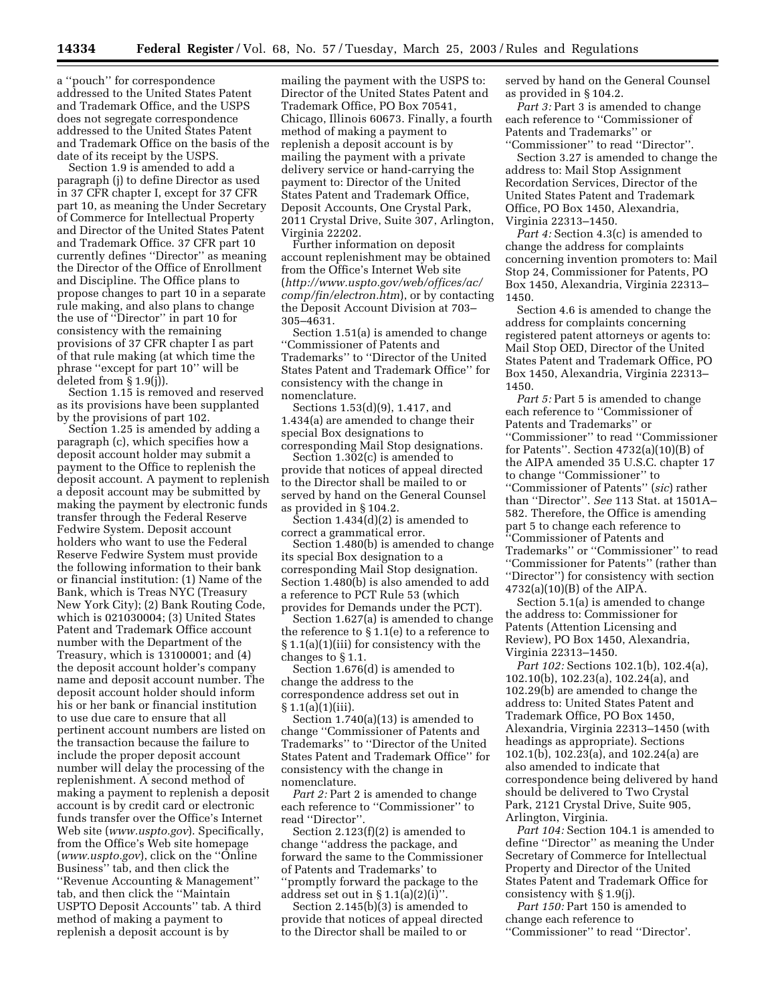a ''pouch'' for correspondence addressed to the United States Patent and Trademark Office, and the USPS does not segregate correspondence addressed to the United States Patent and Trademark Office on the basis of the date of its receipt by the USPS.

Section 1.9 is amended to add a paragraph (j) to define Director as used in 37 CFR chapter I, except for 37 CFR part 10, as meaning the Under Secretary of Commerce for Intellectual Property and Director of the United States Patent and Trademark Office. 37 CFR part 10 currently defines ''Director'' as meaning the Director of the Office of Enrollment and Discipline. The Office plans to propose changes to part 10 in a separate rule making, and also plans to change the use of ''Director'' in part 10 for consistency with the remaining provisions of 37 CFR chapter I as part of that rule making (at which time the phrase ''except for part 10'' will be deleted from § 1.9(j)).

Section 1.15 is removed and reserved as its provisions have been supplanted by the provisions of part 102.

Section 1.25 is amended by adding a paragraph (c), which specifies how a deposit account holder may submit a payment to the Office to replenish the deposit account. A payment to replenish a deposit account may be submitted by making the payment by electronic funds transfer through the Federal Reserve Fedwire System. Deposit account holders who want to use the Federal Reserve Fedwire System must provide the following information to their bank or financial institution: (1) Name of the Bank, which is Treas NYC (Treasury New York City); (2) Bank Routing Code, which is 021030004; (3) United States Patent and Trademark Office account number with the Department of the Treasury, which is 13100001; and (4) the deposit account holder's company name and deposit account number. The deposit account holder should inform his or her bank or financial institution to use due care to ensure that all pertinent account numbers are listed on the transaction because the failure to include the proper deposit account number will delay the processing of the replenishment. A second method of making a payment to replenish a deposit account is by credit card or electronic funds transfer over the Office's Internet Web site (*<www.uspto.gov>*). Specifically, from the Office's Web site homepage (*www.uspto.gov*[\), click on the ''Online](www.uspto.gov)  Business'' tab, and then click the ''Revenue Accounting & Management'' tab, and then click the ''Maintain USPTO Deposit Accounts'' tab. A third method of making a payment to replenish a deposit account is by

mailing the payment with the USPS to: Director of the United States Patent and Trademark Office, PO Box 70541, Chicago, Illinois 60673. Finally, a fourth method of making a payment to replenish a deposit account is by mailing the payment with a private delivery service or hand-carrying the payment to: Director of the United States Patent and Trademark Office, Deposit Accounts, One Crystal Park, 2011 Crystal Drive, Suite 307, Arlington, Virginia 22202.

Further information on deposit account replenishment may be obtained from the Office's Internet Web site (*[http://www.uspto.gov/web/offices/ac/](http://www.uspto.gov/web/offices/ac/comp/fin/electron.htm)  comp/fin/electron.htm*), or by contacting the Deposit Account Division at 703– 305–4631.

Section 1.51(a) is amended to change ''Commissioner of Patents and Trademarks'' to ''Director of the United States Patent and Trademark Office'' for consistency with the change in nomenclature.

Sections 1.53(d)(9), 1.417, and 1.434(a) are amended to change their special Box designations to corresponding Mail Stop designations.

Section 1.302(c) is amended to provide that notices of appeal directed to the Director shall be mailed to or served by hand on the General Counsel as provided in § 104.2.

Section  $1.434(d)(2)$  is amended to correct a grammatical error.

Section 1.480(b) is amended to change its special Box designation to a corresponding Mail Stop designation. Section 1.480(b) is also amended to add a reference to PCT Rule 53 (which provides for Demands under the PCT).

Section 1.627(a) is amended to change the reference to § 1.1(e) to a reference to § 1.1(a)(1)(iii) for consistency with the changes to § 1.1.

Section 1.676(d) is amended to change the address to the correspondence address set out in  $§ 1.1(a)(1)(iii)$ .

Section 1.740(a)(13) is amended to change ''Commissioner of Patents and Trademarks'' to ''Director of the United States Patent and Trademark Office'' for consistency with the change in nomenclature.

*Part 2:* Part 2 is amended to change each reference to ''Commissioner'' to read ''Director''.

Section 2.123(f)(2) is amended to change ''address the package, and forward the same to the Commissioner of Patents and Trademarks' to ''promptly forward the package to the address set out in  $\S 1.1(a)(2)(i)$ "

Section 2.145(b)(3) is amended to provide that notices of appeal directed to the Director shall be mailed to or

served by hand on the General Counsel as provided in § 104.2.

*Part 3:* Part 3 is amended to change each reference to ''Commissioner of Patents and Trademarks'' or ''Commissioner'' to read ''Director''.

Section 3.27 is amended to change the address to: Mail Stop Assignment Recordation Services, Director of the United States Patent and Trademark Office, PO Box 1450, Alexandria, Virginia 22313–1450.

*Part 4:* Section 4.3(c) is amended to change the address for complaints concerning invention promoters to: Mail Stop 24, Commissioner for Patents, PO Box 1450, Alexandria, Virginia 22313– 1450.

Section 4.6 is amended to change the address for complaints concerning registered patent attorneys or agents to: Mail Stop OED, Director of the United States Patent and Trademark Office, PO Box 1450, Alexandria, Virginia 22313– 1450.

*Part 5:* Part 5 is amended to change each reference to ''Commissioner of Patents and Trademarks'' or ''Commissioner'' to read ''Commissioner for Patents''. Section 4732(a)(10)(B) of the AIPA amended 35 U.S.C. chapter 17 to change ''Commissioner'' to ''Commissioner of Patents'' (*sic*) rather than ''Director''. *See* 113 Stat. at 1501A– 582. Therefore, the Office is amending part 5 to change each reference to ''Commissioner of Patents and Trademarks'' or ''Commissioner'' to read ''Commissioner for Patents'' (rather than ''Director'') for consistency with section 4732(a)(10)(B) of the AIPA.

Section 5.1(a) is amended to change the address to: Commissioner for Patents (Attention Licensing and Review), PO Box 1450, Alexandria, Virginia 22313–1450.

*Part 102:* Sections 102.1(b), 102.4(a), 102.10(b), 102.23(a), 102.24(a), and 102.29(b) are amended to change the address to: United States Patent and Trademark Office, PO Box 1450, Alexandria, Virginia 22313–1450 (with headings as appropriate). Sections 102.1(b), 102.23(a), and 102.24(a) are also amended to indicate that correspondence being delivered by hand should be delivered to Two Crystal Park, 2121 Crystal Drive, Suite 905, Arlington, Virginia.

Part 104: Section 104.1 is amended to define ''Director'' as meaning the Under Secretary of Commerce for Intellectual Property and Director of the United States Patent and Trademark Office for consistency with § 1.9(j).

Part 150: Part 150 is amended to change each reference to ''Commissioner'' to read ''Director'.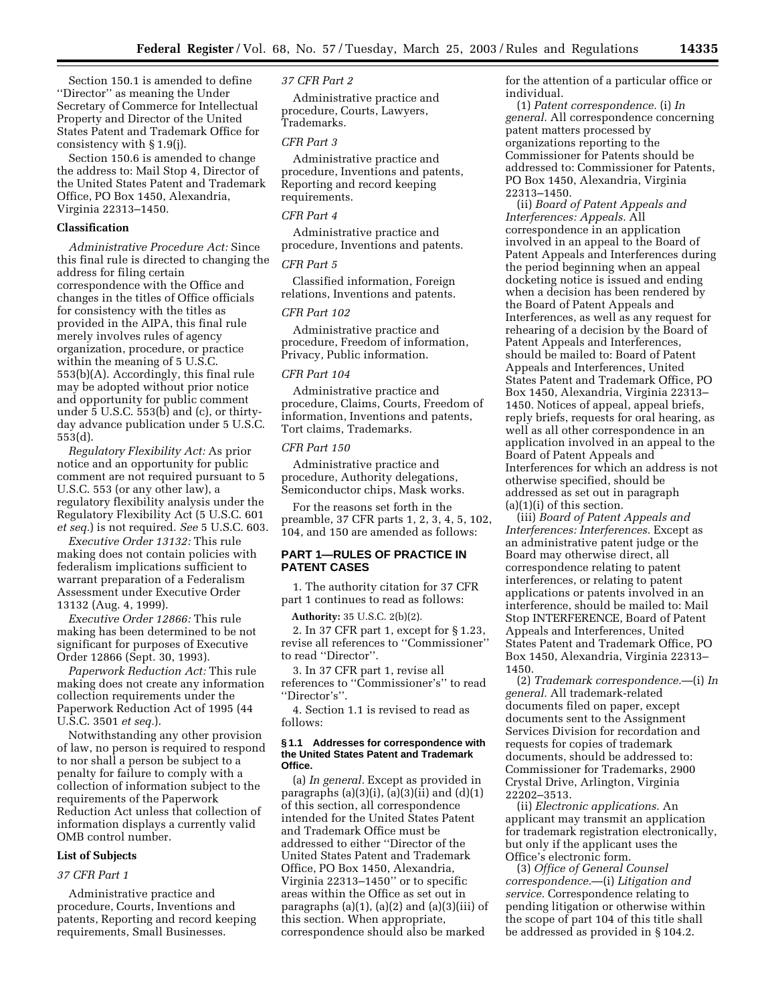Section 150.1 is amended to define ''Director'' as meaning the Under Secretary of Commerce for Intellectual Property and Director of the United States Patent and Trademark Office for consistency with § 1.9(j).

Section 150.6 is amended to change the address to: Mail Stop 4, Director of the United States Patent and Trademark Office, PO Box 1450, Alexandria, Virginia 22313–1450.

# **Classification**

*Administrative Procedure Act:* Since this final rule is directed to changing the address for filing certain correspondence with the Office and changes in the titles of Office officials for consistency with the titles as provided in the AIPA, this final rule merely involves rules of agency organization, procedure, or practice within the meaning of 5 U.S.C. 553(b)(A). Accordingly, this final rule may be adopted without prior notice and opportunity for public comment under 5 U.S.C. 553(b) and (c), or thirtyday advance publication under 5 U.S.C. 553(d).

*Regulatory Flexibility Act:* As prior notice and an opportunity for public comment are not required pursuant to 5 U.S.C. 553 (or any other law), a regulatory flexibility analysis under the Regulatory Flexibility Act (5 U.S.C. 601 *et seq.*) is not required. *See* 5 U.S.C. 603.

*Executive Order 13132:* This rule making does not contain policies with federalism implications sufficient to warrant preparation of a Federalism Assessment under Executive Order 13132 (Aug. 4, 1999).

*Executive Order 12866:* This rule making has been determined to be not significant for purposes of Executive Order 12866 (Sept. 30, 1993).

*Paperwork Reduction Act:* This rule making does not create any information collection requirements under the Paperwork Reduction Act of 1995 (44 U.S.C. 3501 *et seq.*).

Notwithstanding any other provision of law, no person is required to respond to nor shall a person be subject to a penalty for failure to comply with a collection of information subject to the requirements of the Paperwork Reduction Act unless that collection of information displays a currently valid OMB control number.

#### **List of Subjects**

## *37 CFR Part 1*

Administrative practice and procedure, Courts, Inventions and patents, Reporting and record keeping requirements, Small Businesses.

*37 CFR Part 2* 

Administrative practice and procedure, Courts, Lawyers, Trademarks.

#### *CFR Part 3*

Administrative practice and procedure, Inventions and patents, Reporting and record keeping requirements.

## *CFR Part 4*

Administrative practice and procedure, Inventions and patents.

#### *CFR Part 5*

Classified information, Foreign relations, Inventions and patents.

# *CFR Part 102*

Administrative practice and procedure, Freedom of information, Privacy, Public information.

## *CFR Part 104*

Administrative practice and procedure, Claims, Courts, Freedom of information, Inventions and patents, Tort claims, Trademarks.

#### *CFR Part 150*

Administrative practice and procedure, Authority delegations, Semiconductor chips, Mask works.

For the reasons set forth in the preamble, 37 CFR parts 1, 2, 3, 4, 5, 102, 104, and 150 are amended as follows:

# **PART 1—RULES OF PRACTICE IN PATENT CASES**

1. The authority citation for 37 CFR part 1 continues to read as follows:

**Authority:** 35 U.S.C. 2(b)(2).

2. In 37 CFR part 1, except for § 1.23, revise all references to ''Commissioner'' to read ''Director''.

3. In 37 CFR part 1, revise all references to ''Commissioner's'' to read ''Director's''.

4. Section 1.1 is revised to read as follows:

#### **§ 1.1 Addresses for correspondence with the United States Patent and Trademark Office.**

(a) *In general.* Except as provided in paragraphs (a)(3)(i), (a)(3)(ii) and (d)(1) of this section, all correspondence intended for the United States Patent and Trademark Office must be addressed to either ''Director of the United States Patent and Trademark Office, PO Box 1450, Alexandria, Virginia 22313–1450'' or to specific areas within the Office as set out in paragraphs  $(a)(1)$ ,  $(a)(2)$  and  $(a)(3)(iii)$  of this section. When appropriate, correspondence should also be marked

for the attention of a particular office or individual.

(1) *Patent correspondence.* (i) *In general.* All correspondence concerning patent matters processed by organizations reporting to the Commissioner for Patents should be addressed to: Commissioner for Patents, PO Box 1450, Alexandria, Virginia 22313–1450.

(ii) *Board of Patent Appeals and Interferences: Appeals.* All correspondence in an application involved in an appeal to the Board of Patent Appeals and Interferences during the period beginning when an appeal docketing notice is issued and ending when a decision has been rendered by the Board of Patent Appeals and Interferences, as well as any request for rehearing of a decision by the Board of Patent Appeals and Interferences, should be mailed to: Board of Patent Appeals and Interferences, United States Patent and Trademark Office, PO Box 1450, Alexandria, Virginia 22313– 1450. Notices of appeal, appeal briefs, reply briefs, requests for oral hearing, as well as all other correspondence in an application involved in an appeal to the Board of Patent Appeals and Interferences for which an address is not otherwise specified, should be addressed as set out in paragraph  $(a)(1)(i)$  of this section.

(iii) *Board of Patent Appeals and Interferences: Interferences.* Except as an administrative patent judge or the Board may otherwise direct, all correspondence relating to patent interferences, or relating to patent applications or patents involved in an interference, should be mailed to: Mail Stop INTERFERENCE, Board of Patent Appeals and Interferences, United States Patent and Trademark Office, PO Box 1450, Alexandria, Virginia 22313– 1450.

(2) *Trademark correspondence.*—(i) *In general.* All trademark-related documents filed on paper, except documents sent to the Assignment Services Division for recordation and requests for copies of trademark documents, should be addressed to: Commissioner for Trademarks, 2900 Crystal Drive, Arlington, Virginia 22202–3513.

(ii) *Electronic applications.* An applicant may transmit an application for trademark registration electronically, but only if the applicant uses the Office's electronic form.

(3) *Office of General Counsel correspondence.*—(i) *Litigation and service.* Correspondence relating to pending litigation or otherwise within the scope of part 104 of this title shall be addressed as provided in § 104.2.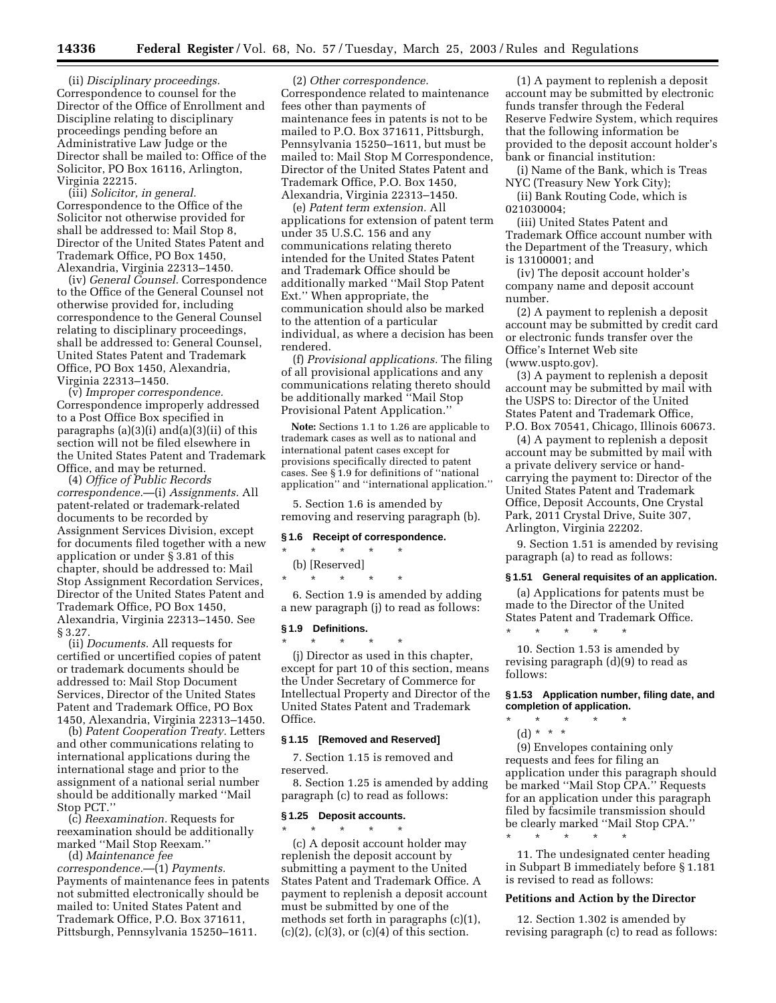(ii) *Disciplinary proceedings.*  Correspondence to counsel for the Director of the Office of Enrollment and Discipline relating to disciplinary proceedings pending before an Administrative Law Judge or the Director shall be mailed to: Office of the Solicitor, PO Box 16116, Arlington, Virginia 22215.

(iii) *Solicitor, in general.*  Correspondence to the Office of the Solicitor not otherwise provided for shall be addressed to: Mail Stop 8, Director of the United States Patent and Trademark Office, PO Box 1450, Alexandria, Virginia 22313–1450.

(iv) *General Counsel.* Correspondence to the Office of the General Counsel not otherwise provided for, including correspondence to the General Counsel relating to disciplinary proceedings, shall be addressed to: General Counsel, United States Patent and Trademark Office, PO Box 1450, Alexandria, Virginia 22313–1450.

(v) *Improper correspondence.*  Correspondence improperly addressed to a Post Office Box specified in paragraphs  $(a)(3)(i)$  and $(a)(3)(ii)$  of this section will not be filed elsewhere in the United States Patent and Trademark Office, and may be returned.

(4) *Office of Public Records correspondence.*—(i) *Assignments.* All patent-related or trademark-related documents to be recorded by Assignment Services Division, except for documents filed together with a new application or under § 3.81 of this chapter, should be addressed to: Mail Stop Assignment Recordation Services, Director of the United States Patent and Trademark Office, PO Box 1450, Alexandria, Virginia 22313–1450. See § 3.27.

(ii) *Documents.* All requests for certified or uncertified copies of patent or trademark documents should be addressed to: Mail Stop Document Services, Director of the United States Patent and Trademark Office, PO Box 1450, Alexandria, Virginia 22313–1450.

(b) *Patent Cooperation Treaty.* Letters and other communications relating to international applications during the international stage and prior to the assignment of a national serial number should be additionally marked ''Mail Stop PCT.''

(c) *Reexamination.* Requests for reexamination should be additionally marked ''Mail Stop Reexam.''

(d) *Maintenance fee correspondence.*—(1) *Payments.*  Payments of maintenance fees in patents not submitted electronically should be mailed to: United States Patent and Trademark Office, P.O. Box 371611, Pittsburgh, Pennsylvania 15250–1611.

(2) *Other correspondence.*  Correspondence related to maintenance fees other than payments of maintenance fees in patents is not to be mailed to P.O. Box 371611, Pittsburgh, Pennsylvania 15250–1611, but must be mailed to: Mail Stop M Correspondence, Director of the United States Patent and Trademark Office, P.O. Box 1450, Alexandria, Virginia 22313–1450.

(e) *Patent term extension.* All applications for extension of patent term under 35 U.S.C. 156 and any communications relating thereto intended for the United States Patent and Trademark Office should be additionally marked ''Mail Stop Patent Ext.'' When appropriate, the communication should also be marked to the attention of a particular individual, as where a decision has been rendered.

(f) *Provisional applications.* The filing of all provisional applications and any communications relating thereto should be additionally marked "Mail Stop Provisional Patent Application.''

**Note:** Sections 1.1 to 1.26 are applicable to trademark cases as well as to national and international patent cases except for provisions specifically directed to patent cases. See § 1.9 for definitions of ''national application'' and ''international application.''

5. Section 1.6 is amended by removing and reserving paragraph (b).

### **§ 1.6 Receipt of correspondence.**

\* \* \* \* \* (b) [Reserved] \* \* \* \* \*

6. Section 1.9 is amended by adding a new paragraph (j) to read as follows:

#### **§ 1.9 Definitions.**

\* \* \* \* \* (j) Director as used in this chapter, except for part 10 of this section, means the Under Secretary of Commerce for Intellectual Property and Director of the United States Patent and Trademark Office.

#### **§ 1.15 [Removed and Reserved]**

7. Section 1.15 is removed and reserved.

8. Section 1.25 is amended by adding paragraph (c) to read as follows:

## **§ 1.25 Deposit accounts.**

\* \* \* \* \* (c) A deposit account holder may replenish the deposit account by submitting a payment to the United States Patent and Trademark Office. A payment to replenish a deposit account must be submitted by one of the methods set forth in paragraphs (c)(1),  $(c)(2)$ ,  $(c)(3)$ , or  $(c)(4)$  of this section.

(1) A payment to replenish a deposit account may be submitted by electronic funds transfer through the Federal Reserve Fedwire System, which requires that the following information be provided to the deposit account holder's bank or financial institution:

(i) Name of the Bank, which is Treas NYC (Treasury New York City);

(ii) Bank Routing Code, which is 021030004;

(iii) United States Patent and Trademark Office account number with the Department of the Treasury, which is 13100001; and

(iv) The deposit account holder's company name and deposit account number.

(2) A payment to replenish a deposit account may be submitted by credit card or electronic funds transfer over the Office's Internet Web site [\(www.uspto.gov\).](www.uspto.gov) 

(3) A payment to replenish a deposit account may be submitted by mail with the USPS to: Director of the United States Patent and Trademark Office, P.O. Box 70541, Chicago, Illinois 60673.

(4) A payment to replenish a deposit account may be submitted by mail with a private delivery service or handcarrying the payment to: Director of the United States Patent and Trademark Office, Deposit Accounts, One Crystal Park, 2011 Crystal Drive, Suite 307, Arlington, Virginia 22202.

9. Section 1.51 is amended by revising paragraph (a) to read as follows:

#### **§ 1.51 General requisites of an application.**

(a) Applications for patents must be made to the Director of the United States Patent and Trademark Office.

10. Section 1.53 is amended by revising paragraph (d)(9) to read as follows:

\* \* \* \* \*

\* \* \* \* \*

### **§ 1.53 Application number, filing date, and completion of application.**

- \* \* \* \* \*
	- (d) \* \* \*

(9) Envelopes containing only requests and fees for filing an application under this paragraph should be marked ''Mail Stop CPA.'' Requests for an application under this paragraph filed by facsimile transmission should be clearly marked ''Mail Stop CPA.''

11. The undesignated center heading in Subpart B immediately before § 1.181 is revised to read as follows:

### **Petitions and Action by the Director**

12. Section 1.302 is amended by revising paragraph (c) to read as follows: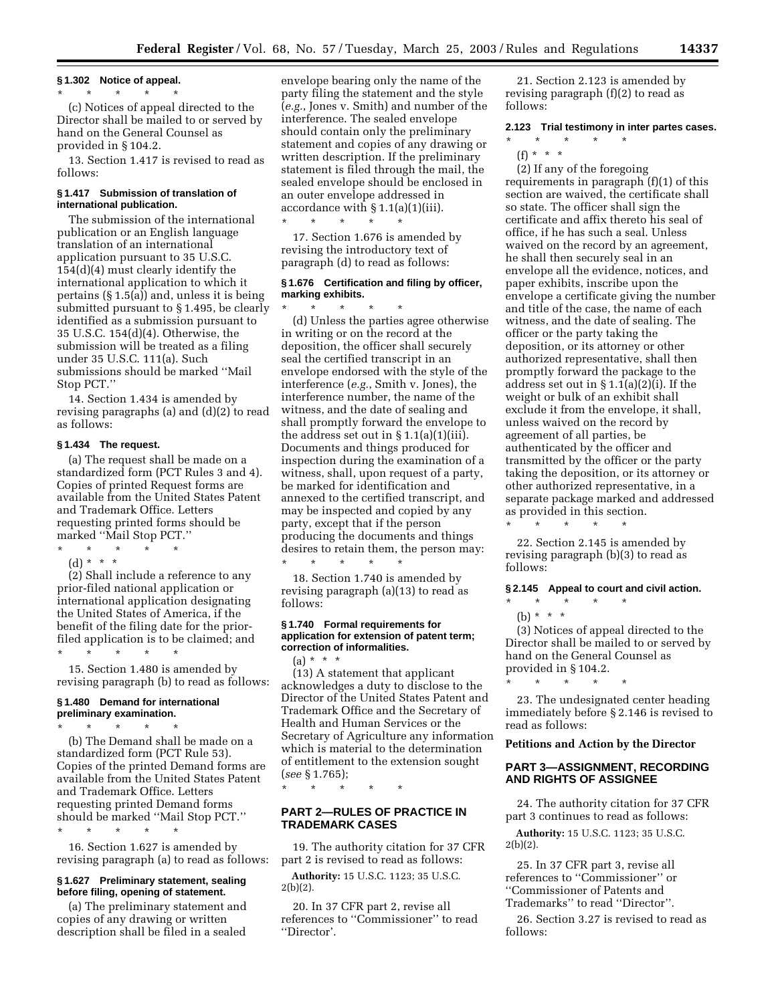#### **§ 1.302 Notice of appeal.**

#### \* \* \* \* \*

(c) Notices of appeal directed to the Director shall be mailed to or served by hand on the General Counsel as provided in § 104.2.

13. Section 1.417 is revised to read as follows:

## **§ 1.417 Submission of translation of international publication.**

The submission of the international publication or an English language translation of an international application pursuant to 35 U.S.C. 154(d)(4) must clearly identify the international application to which it pertains (§ 1.5(a)) and, unless it is being submitted pursuant to § 1.495, be clearly identified as a submission pursuant to 35 U.S.C. 154(d)(4). Otherwise, the submission will be treated as a filing under 35 U.S.C. 111(a). Such submissions should be marked ''Mail Stop PCT.''

14. Section 1.434 is amended by revising paragraphs (a) and (d)(2) to read as follows:

## **§ 1.434 The request.**

(a) The request shall be made on a standardized form (PCT Rules 3 and 4). Copies of printed Request forms are available from the United States Patent and Trademark Office. Letters requesting printed forms should be marked ''Mail Stop PCT.''

\* \* \* \* \* (d) \* \* \*

(2) Shall include a reference to any prior-filed national application or international application designating the United States of America, if the benefit of the filing date for the priorfiled application is to be claimed; and

15. Section 1.480 is amended by revising paragraph (b) to read as follows:

# **§ 1.480 Demand for international preliminary examination.**

\* \* \* \* \*

\* \* \* \* \*

(b) The Demand shall be made on a standardized form (PCT Rule 53). Copies of the printed Demand forms are available from the United States Patent and Trademark Office. Letters requesting printed Demand forms should be marked ''Mail Stop PCT.'' \* \* \* \* \*

16. Section 1.627 is amended by revising paragraph (a) to read as follows:

# **§ 1.627 Preliminary statement, sealing before filing, opening of statement.**

(a) The preliminary statement and copies of any drawing or written description shall be filed in a sealed

envelope bearing only the name of the party filing the statement and the style (*e.g.*, Jones v. Smith) and number of the interference. The sealed envelope should contain only the preliminary statement and copies of any drawing or written description. If the preliminary statement is filed through the mail, the sealed envelope should be enclosed in an outer envelope addressed in accordance with § 1.1(a)(1)(iii). \* \* \* \* \*

17. Section 1.676 is amended by revising the introductory text of paragraph (d) to read as follows:

# **§ 1.676 Certification and filing by officer, marking exhibits.**

\* \* \* \* \* (d) Unless the parties agree otherwise in writing or on the record at the deposition, the officer shall securely seal the certified transcript in an envelope endorsed with the style of the interference (*e.g.*, Smith v. Jones), the interference number, the name of the witness, and the date of sealing and shall promptly forward the envelope to the address set out in  $\S 1.1(a)(1)(iii)$ . Documents and things produced for inspection during the examination of a witness, shall, upon request of a party, be marked for identification and annexed to the certified transcript, and may be inspected and copied by any party, except that if the person producing the documents and things desires to retain them, the person may: \* \* \* \* \*

18. Section 1.740 is amended by revising paragraph (a)(13) to read as follows:

## **§ 1.740 Formal requirements for application for extension of patent term; correction of informalities.**

 $(a) * * * *$ 

(13) A statement that applicant acknowledges a duty to disclose to the Director of the United States Patent and Trademark Office and the Secretary of Health and Human Services or the Secretary of Agriculture any information which is material to the determination of entitlement to the extension sought (*see* § 1.765);

\* \* \* \* \*

## **PART 2—RULES OF PRACTICE IN TRADEMARK CASES**

19. The authority citation for 37 CFR part 2 is revised to read as follows:

**Authority:** 15 U.S.C. 1123; 35 U.S.C.  $2(b)(2)$ .

20. In 37 CFR part 2, revise all references to ''Commissioner'' to read ''Director'.

21. Section 2.123 is amended by revising paragraph (f)(2) to read as follows:

## **2.123 Trial testimony in inter partes cases.**

\* \* \* \* \*

 $(f) * * * *$ 

(2) If any of the foregoing requirements in paragraph (f)(1) of this section are waived, the certificate shall so state. The officer shall sign the certificate and affix thereto his seal of office, if he has such a seal. Unless waived on the record by an agreement, he shall then securely seal in an envelope all the evidence, notices, and paper exhibits, inscribe upon the envelope a certificate giving the number and title of the case, the name of each witness, and the date of sealing. The officer or the party taking the deposition, or its attorney or other authorized representative, shall then promptly forward the package to the address set out in § 1.1(a)(2)(i). If the weight or bulk of an exhibit shall exclude it from the envelope, it shall, unless waived on the record by agreement of all parties, be authenticated by the officer and transmitted by the officer or the party taking the deposition, or its attorney or other authorized representative, in a separate package marked and addressed as provided in this section. \* \* \* \* \*

22. Section 2.145 is amended by revising paragraph (b)(3) to read as follows:

**§ 2.145 Appeal to court and civil action.** 

## \* \* \* \* \*

\* \* \* \* \*

(b) \* \* \*

(3) Notices of appeal directed to the Director shall be mailed to or served by hand on the General Counsel as provided in § 104.2.

23. The undesignated center heading immediately before § 2.146 is revised to read as follows:

## **Petitions and Action by the Director**

## **PART 3—ASSIGNMENT, RECORDING AND RIGHTS OF ASSIGNEE**

24. The authority citation for 37 CFR part 3 continues to read as follows:

**Authority:** 15 U.S.C. 1123; 35 U.S.C.  $2(b)(2)$ .

25. In 37 CFR part 3, revise all references to ''Commissioner'' or ''Commissioner of Patents and Trademarks'' to read ''Director''.

26. Section 3.27 is revised to read as follows: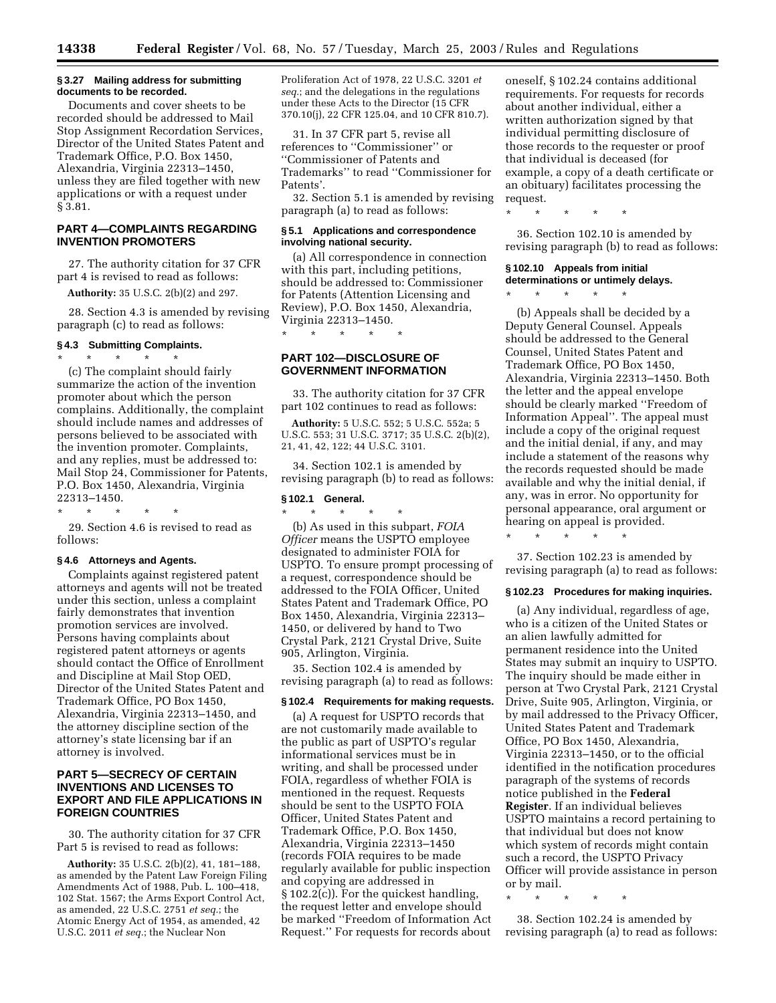#### **§ 3.27 Mailing address for submitting documents to be recorded.**

Documents and cover sheets to be recorded should be addressed to Mail Stop Assignment Recordation Services, Director of the United States Patent and Trademark Office, P.O. Box 1450, Alexandria, Virginia 22313–1450, unless they are filed together with new applications or with a request under § 3.81.

# **PART 4—COMPLAINTS REGARDING INVENTION PROMOTERS**

27. The authority citation for 37 CFR part 4 is revised to read as follows:

**Authority:** 35 U.S.C. 2(b)(2) and 297.

28. Section 4.3 is amended by revising paragraph (c) to read as follows:

# **§ 4.3 Submitting Complaints.**

\* \* \* \* \* (c) The complaint should fairly summarize the action of the invention promoter about which the person complains. Additionally, the complaint should include names and addresses of persons believed to be associated with the invention promoter. Complaints, and any replies, must be addressed to: Mail Stop 24, Commissioner for Patents, P.O. Box 1450, Alexandria, Virginia 22313–1450.

\* \* \* \* \*

29. Section 4.6 is revised to read as follows:

#### **§ 4.6 Attorneys and Agents.**

Complaints against registered patent attorneys and agents will not be treated under this section, unless a complaint fairly demonstrates that invention promotion services are involved. Persons having complaints about registered patent attorneys or agents should contact the Office of Enrollment and Discipline at Mail Stop OED, Director of the United States Patent and Trademark Office, PO Box 1450, Alexandria, Virginia 22313–1450, and the attorney discipline section of the attorney's state licensing bar if an attorney is involved.

# **PART 5—SECRECY OF CERTAIN INVENTIONS AND LICENSES TO EXPORT AND FILE APPLICATIONS IN FOREIGN COUNTRIES**

30. The authority citation for 37 CFR Part 5 is revised to read as follows:

**Authority:** 35 U.S.C. 2(b)(2), 41, 181–188, as amended by the Patent Law Foreign Filing Amendments Act of 1988, Pub. L. 100–418, 102 Stat. 1567; the Arms Export Control Act, as amended, 22 U.S.C. 2751 *et seq.*; the Atomic Energy Act of 1954, as amended, 42 U.S.C. 2011 *et seq.*; the Nuclear Non

Proliferation Act of 1978, 22 U.S.C. 3201 *et seq.*; and the delegations in the regulations under these Acts to the Director (15 CFR 370.10(j), 22 CFR 125.04, and 10 CFR 810.7).

31. In 37 CFR part 5, revise all references to ''Commissioner'' or ''Commissioner of Patents and Trademarks'' to read ''Commissioner for Patents'.

32. Section 5.1 is amended by revising paragraph (a) to read as follows:

#### **§ 5.1 Applications and correspondence involving national security.**

(a) All correspondence in connection with this part, including petitions, should be addressed to: Commissioner for Patents (Attention Licensing and Review), P.O. Box 1450, Alexandria, Virginia 22313–1450.

# **PART 102—DISCLOSURE OF GOVERNMENT INFORMATION**

\* \* \* \* \*

33. The authority citation for 37 CFR part 102 continues to read as follows:

**Authority:** 5 U.S.C. 552; 5 U.S.C. 552a; 5 U.S.C. 553; 31 U.S.C. 3717; 35 U.S.C. 2(b)(2), 21, 41, 42, 122; 44 U.S.C. 3101.

34. Section 102.1 is amended by revising paragraph (b) to read as follows:

# **§ 102.1 General.**

\* \* \* \* \* (b) As used in this subpart, *FOIA Officer* means the USPTO employee designated to administer FOIA for USPTO. To ensure prompt processing of a request, correspondence should be addressed to the FOIA Officer, United States Patent and Trademark Office, PO Box 1450, Alexandria, Virginia 22313– 1450, or delivered by hand to Two Crystal Park, 2121 Crystal Drive, Suite 905, Arlington, Virginia.

35. Section 102.4 is amended by revising paragraph (a) to read as follows:

## **§ 102.4 Requirements for making requests.**

(a) A request for USPTO records that are not customarily made available to the public as part of USPTO's regular informational services must be in writing, and shall be processed under FOIA, regardless of whether FOIA is mentioned in the request. Requests should be sent to the USPTO FOIA Officer, United States Patent and Trademark Office, P.O. Box 1450, Alexandria, Virginia 22313–1450 (records FOIA requires to be made regularly available for public inspection and copying are addressed in § 102.2(c)). For the quickest handling, the request letter and envelope should be marked ''Freedom of Information Act Request.'' For requests for records about

oneself, § 102.24 contains additional requirements. For requests for records about another individual, either a written authorization signed by that individual permitting disclosure of those records to the requester or proof that individual is deceased (for example, a copy of a death certificate or an obituary) facilitates processing the request.

\* \* \* \* \*

36. Section 102.10 is amended by revising paragraph (b) to read as follows:

# **§ 102.10 Appeals from initial determinations or untimely delays.**

\* \* \* \* \*

(b) Appeals shall be decided by a Deputy General Counsel. Appeals should be addressed to the General Counsel, United States Patent and Trademark Office, PO Box 1450, Alexandria, Virginia 22313–1450. Both the letter and the appeal envelope should be clearly marked ''Freedom of Information Appeal''. The appeal must include a copy of the original request and the initial denial, if any, and may include a statement of the reasons why the records requested should be made available and why the initial denial, if any, was in error. No opportunity for personal appearance, oral argument or hearing on appeal is provided.

\* \* \* \* \*

37. Section 102.23 is amended by revising paragraph (a) to read as follows:

#### **§ 102.23 Procedures for making inquiries.**

(a) Any individual, regardless of age, who is a citizen of the United States or an alien lawfully admitted for permanent residence into the United States may submit an inquiry to USPTO. The inquiry should be made either in person at Two Crystal Park, 2121 Crystal Drive, Suite 905, Arlington, Virginia, or by mail addressed to the Privacy Officer, United States Patent and Trademark Office, PO Box 1450, Alexandria, Virginia 22313–1450, or to the official identified in the notification procedures paragraph of the systems of records notice published in the **Federal Register**. If an individual believes USPTO maintains a record pertaining to that individual but does not know which system of records might contain such a record, the USPTO Privacy Officer will provide assistance in person or by mail.

\* \* \* \* \*

38. Section 102.24 is amended by revising paragraph (a) to read as follows: